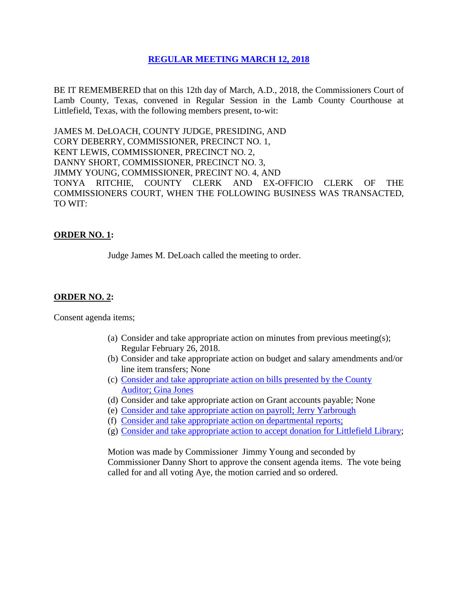# **REGULAR [MEETING MARCH 12, 2018](Links%202018-03-12-Regular/01%20AGENDA%20REGULAR%20MEETING%20MARCH%2012,%202018.pdf)**

BE IT REMEMBERED that on this 12th day of March, A.D., 2018, the Commissioners Court of Lamb County, Texas, convened in Regular Session in the Lamb County Courthouse at Littlefield, Texas, with the following members present, to-wit:

JAMES M. DeLOACH, COUNTY JUDGE, PRESIDING, AND CORY DEBERRY, COMMISSIONER, PRECINCT NO. 1, KENT LEWIS, COMMISSIONER, PRECINCT NO. 2, DANNY SHORT, COMMISSIONER, PRECINCT NO. 3, JIMMY YOUNG, COMMISSIONER, PRECINT NO. 4, AND TONYA RITCHIE, COUNTY CLERK AND EX-OFFICIO CLERK OF THE COMMISSIONERS COURT, WHEN THE FOLLOWING BUSINESS WAS TRANSACTED, TO WIT:

# **ORDER NO. 1:**

Judge James M. DeLoach called the meeting to order.

# **ORDER NO. 2:**

Consent agenda items;

- (a) Consider and take appropriate action on minutes from previous meeting(s); Regular February 26, 2018.
- (b) Consider and take appropriate action on budget and salary amendments and/or line item transfers; None
- (c) [Consider and take appropriate action on bills presented by the County](Links%202018-03-12-Regular/03%20ACCOUNTS%20PAYABLE%20REGULAR%20MEETING%20MARCH%2012,%202018.pdf)  Auditor; [Gina Jones](Links%202018-03-12-Regular/03%20ACCOUNTS%20PAYABLE%20REGULAR%20MEETING%20MARCH%2012,%202018.pdf)
- (d) Consider and take appropriate action on Grant accounts payable; None
- (e) [Consider and take appropriate action on payroll;](Links%202018-03-12-Regular/04%20PAYROLL%20PAYABLES%20REGULAR%20MEETING%20MARCH%2012,%202018.pdf) Jerry Yarbrough
- (f) [Consider and take appropriate action on departmental reports;](Links%202018-03-12-Regular/05%20DEPARTMENTAL%20REPORTS%20REGULAR%20MEETING%20MARCH%2012,%202018.pdf)
- (g) [Consider and take appropriate action to accept donation for Littlefield Library;](Links%202018-03-12-Regular/06%20DONATION%20LITTLEFIELD%20LIBRARY%20REGULAR%20MEETING%20MARCH%2012,%202018.pdf)

Motion was made by Commissioner Jimmy Young and seconded by Commissioner Danny Short to approve the consent agenda items. The vote being called for and all voting Aye, the motion carried and so ordered.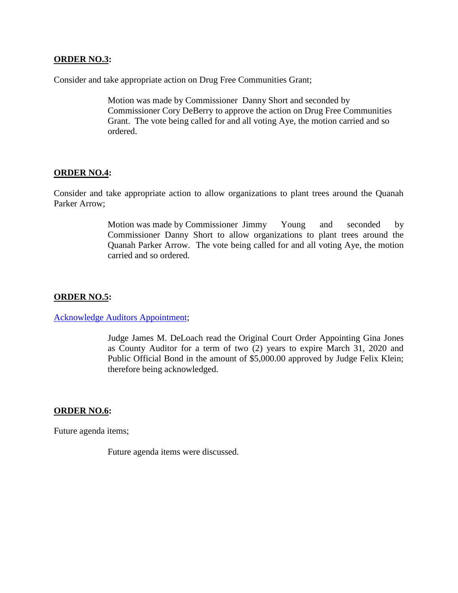### **ORDER NO.3:**

Consider and take appropriate action on Drug Free Communities Grant;

Motion was made by Commissioner Danny Short and seconded by Commissioner Cory DeBerry to approve the action on Drug Free Communities Grant. The vote being called for and all voting Aye, the motion carried and so ordered.

### **ORDER NO.4:**

Consider and take appropriate action to allow organizations to plant trees around the Quanah Parker Arrow;

> Motion was made by Commissioner Jimmy Young and seconded by Commissioner Danny Short to allow organizations to plant trees around the Quanah Parker Arrow. The vote being called for and all voting Aye, the motion carried and so ordered.

# **ORDER NO.5:**

[Acknowledge Auditors Appointment;](Links%202018-03-12-Regular/07%20AUDITOR)

Judge James M. DeLoach read the Original Court Order Appointing Gina Jones as County Auditor for a term of two (2) years to expire March 31, 2020 and Public Official Bond in the amount of \$5,000.00 approved by Judge Felix Klein; therefore being acknowledged.

#### **ORDER NO.6:**

Future agenda items;

Future agenda items were discussed.